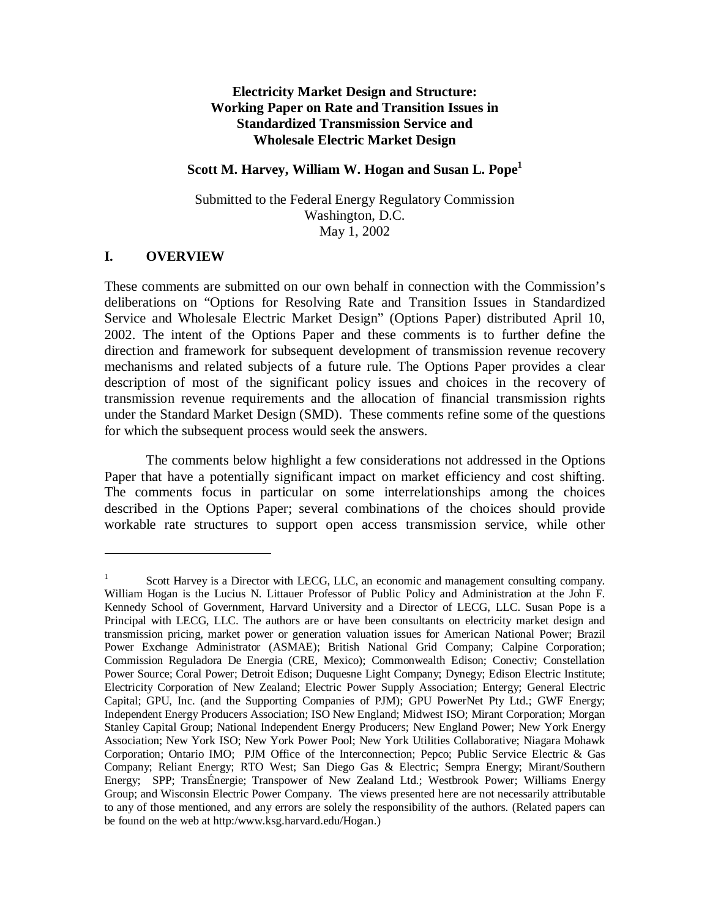## **Electricity Market Design and Structure: Working Paper on Rate and Transition Issues in Standardized Transmission Service and Wholesale Electric Market Design**

#### Scott M. Harvey, William W. Hogan and Susan L. Pope<sup>1</sup>

Submitted to the Federal Energy Regulatory Commission Washington, D.C. May 1, 2002

### **I. OVERVIEW**

 $\overline{a}$ 

These comments are submitted on our own behalf in connection with the Commission's deliberations on "Options for Resolving Rate and Transition Issues in Standardized Service and Wholesale Electric Market Design" (Options Paper) distributed April 10, 2002. The intent of the Options Paper and these comments is to further define the direction and framework for subsequent development of transmission revenue recovery mechanisms and related subjects of a future rule. The Options Paper provides a clear description of most of the significant policy issues and choices in the recovery of transmission revenue requirements and the allocation of financial transmission rights under the Standard Market Design (SMD). These comments refine some of the questions for which the subsequent process would seek the answers.

The comments below highlight a few considerations not addressed in the Options Paper that have a potentially significant impact on market efficiency and cost shifting. The comments focus in particular on some interrelationships among the choices described in the Options Paper; several combinations of the choices should provide workable rate structures to support open access transmission service, while other

<sup>1</sup> Scott Harvey is a Director with LECG, LLC, an economic and management consulting company. William Hogan is the Lucius N. Littauer Professor of Public Policy and Administration at the John F. Kennedy School of Government, Harvard University and a Director of LECG, LLC. Susan Pope is a Principal with LECG, LLC. The authors are or have been consultants on electricity market design and transmission pricing, market power or generation valuation issues for American National Power; Brazil Power Exchange Administrator (ASMAE); British National Grid Company; Calpine Corporation; Commission Reguladora De Energia (CRE, Mexico); Commonwealth Edison; Conectiv; Constellation Power Source; Coral Power; Detroit Edison; Duquesne Light Company; Dynegy; Edison Electric Institute; Electricity Corporation of New Zealand; Electric Power Supply Association; Entergy; General Electric Capital; GPU, Inc. (and the Supporting Companies of PJM); GPU PowerNet Pty Ltd.; GWF Energy; Independent Energy Producers Association; ISO New England; Midwest ISO; Mirant Corporation; Morgan Stanley Capital Group; National Independent Energy Producers; New England Power; New York Energy Association; New York ISO; New York Power Pool; New York Utilities Collaborative; Niagara Mohawk Corporation; Ontario IMO; PJM Office of the Interconnection; Pepco; Public Service Electric & Gas Company; Reliant Energy; RTO West; San Diego Gas & Electric; Sempra Energy; Mirant/Southern Energy; SPP; TransÉnergie; Transpower of New Zealand Ltd.; Westbrook Power; Williams Energy Group; and Wisconsin Electric Power Company. The views presented here are not necessarily attributable to any of those mentioned, and any errors are solely the responsibility of the authors. (Related papers can be found on the web at http:/www.ksg.harvard.edu/Hogan.)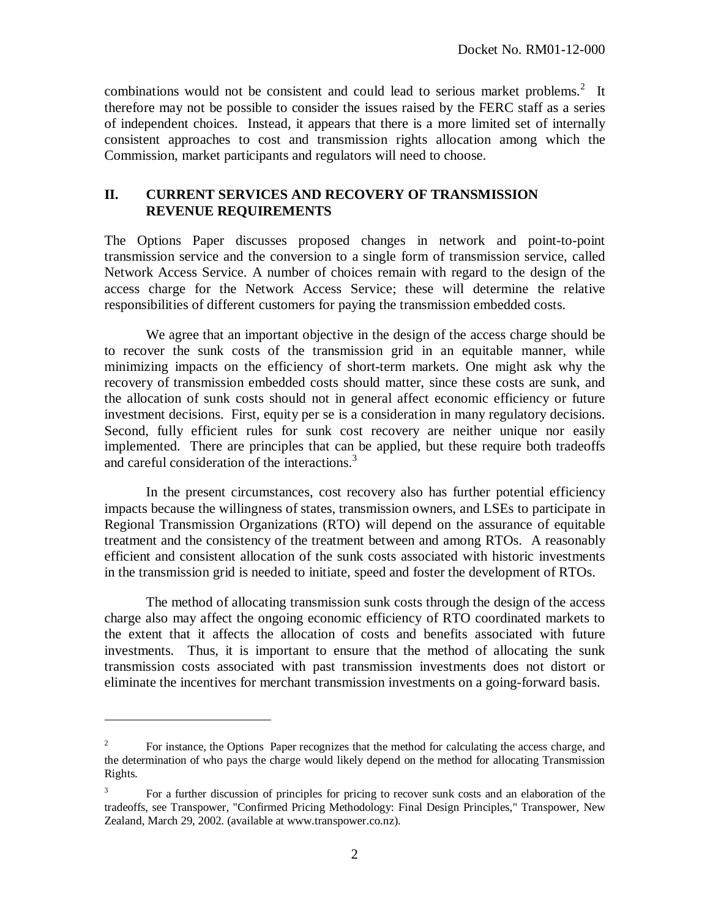combinations would not be consistent and could lead to serious market problems.<sup>2</sup> It therefore may not be possible to consider the issues raised by the FERC staff as a series of independent choices. Instead, it appears that there is a more limited set of internally consistent approaches to cost and transmission rights allocation among which the Commission, market participants and regulators will need to choose.

# **II. CURRENT SERVICES AND RECOVERY OF TRANSMISSION REVENUE REQUIREMENTS**

The Options Paper discusses proposed changes in network and point-to-point transmission service and the conversion to a single form of transmission service, called Network Access Service. A number of choices remain with regard to the design of the access charge for the Network Access Service; these will determine the relative responsibilities of different customers for paying the transmission embedded costs.

We agree that an important objective in the design of the access charge should be to recover the sunk costs of the transmission grid in an equitable manner, while minimizing impacts on the efficiency of short-term markets. One might ask why the recovery of transmission embedded costs should matter, since these costs are sunk, and the allocation of sunk costs should not in general affect economic efficiency or future investment decisions. First, equity per se is a consideration in many regulatory decisions. Second, fully efficient rules for sunk cost recovery are neither unique nor easily implemented. There are principles that can be applied, but these require both tradeoffs and careful consideration of the interactions.<sup>3</sup>

In the present circumstances, cost recovery also has further potential efficiency impacts because the willingness of states, transmission owners, and LSEs to participate in Regional Transmission Organizations (RTO) will depend on the assurance of equitable treatment and the consistency of the treatment between and among RTOs. A reasonably efficient and consistent allocation of the sunk costs associated with historic investments in the transmission grid is needed to initiate, speed and foster the development of RTOs.

The method of allocating transmission sunk costs through the design of the access charge also may affect the ongoing economic efficiency of RTO coordinated markets to the extent that it affects the allocation of costs and benefits associated with future investments. Thus, it is important to ensure that the method of allocating the sunk transmission costs associated with past transmission investments does not distort or eliminate the incentives for merchant transmission investments on a going-forward basis.

<sup>2</sup> For instance, the Options Paper recognizes that the method for calculating the access charge, and the determination of who pays the charge would likely depend on the method for allocating Transmission Rights.

<sup>3</sup> For a further discussion of principles for pricing to recover sunk costs and an elaboration of the tradeoffs, see Transpower, "Confirmed Pricing Methodology: Final Design Principles," Transpower, New Zealand, March 29, 2002. (available at www.transpower.co.nz).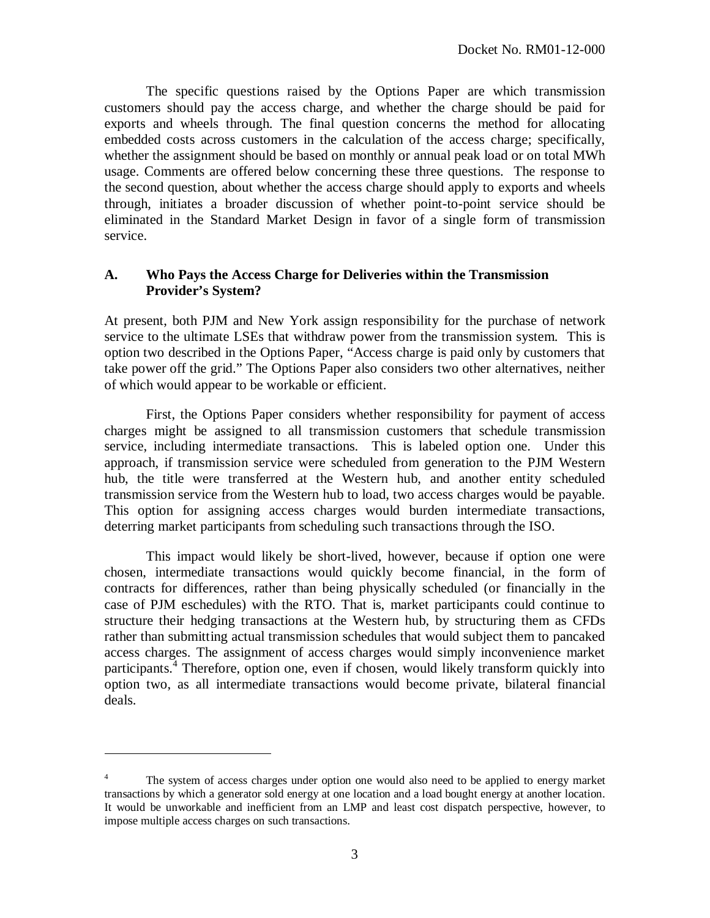The specific questions raised by the Options Paper are which transmission customers should pay the access charge, and whether the charge should be paid for exports and wheels through. The final question concerns the method for allocating embedded costs across customers in the calculation of the access charge; specifically, whether the assignment should be based on monthly or annual peak load or on total MWh usage. Comments are offered below concerning these three questions. The response to the second question, about whether the access charge should apply to exports and wheels through, initiates a broader discussion of whether point-to-point service should be eliminated in the Standard Market Design in favor of a single form of transmission service.

# **A. Who Pays the Access Charge for Deliveries within the Transmission Provider's System?**

At present, both PJM and New York assign responsibility for the purchase of network service to the ultimate LSEs that withdraw power from the transmission system. This is option two described in the Options Paper, "Access charge is paid only by customers that take power off the grid." The Options Paper also considers two other alternatives, neither of which would appear to be workable or efficient.

First, the Options Paper considers whether responsibility for payment of access charges might be assigned to all transmission customers that schedule transmission service, including intermediate transactions. This is labeled option one. Under this approach, if transmission service were scheduled from generation to the PJM Western hub, the title were transferred at the Western hub, and another entity scheduled transmission service from the Western hub to load, two access charges would be payable. This option for assigning access charges would burden intermediate transactions, deterring market participants from scheduling such transactions through the ISO.

This impact would likely be short-lived, however, because if option one were chosen, intermediate transactions would quickly become financial, in the form of contracts for differences, rather than being physically scheduled (or financially in the case of PJM eschedules) with the RTO. That is, market participants could continue to structure their hedging transactions at the Western hub, by structuring them as CFDs rather than submitting actual transmission schedules that would subject them to pancaked access charges. The assignment of access charges would simply inconvenience market participants.<sup>4</sup> Therefore, option one, even if chosen, would likely transform quickly into option two, as all intermediate transactions would become private, bilateral financial deals.

<sup>4</sup> The system of access charges under option one would also need to be applied to energy market transactions by which a generator sold energy at one location and a load bought energy at another location. It would be unworkable and inefficient from an LMP and least cost dispatch perspective, however, to impose multiple access charges on such transactions.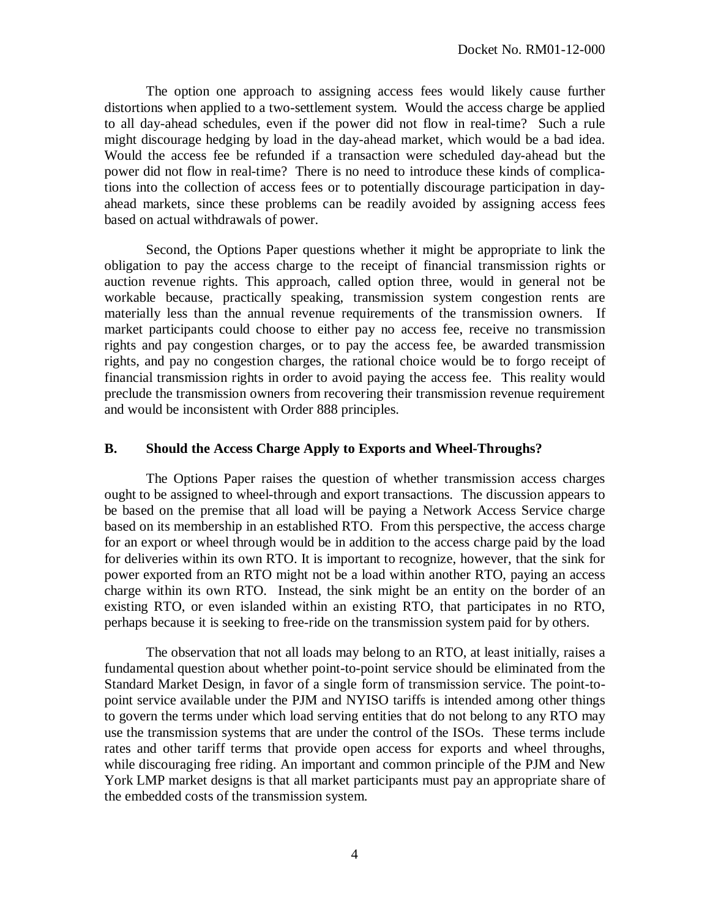The option one approach to assigning access fees would likely cause further distortions when applied to a two-settlement system. Would the access charge be applied to all day-ahead schedules, even if the power did not flow in real-time? Such a rule might discourage hedging by load in the day-ahead market, which would be a bad idea. Would the access fee be refunded if a transaction were scheduled day-ahead but the power did not flow in real-time? There is no need to introduce these kinds of complications into the collection of access fees or to potentially discourage participation in dayahead markets, since these problems can be readily avoided by assigning access fees based on actual withdrawals of power.

Second, the Options Paper questions whether it might be appropriate to link the obligation to pay the access charge to the receipt of financial transmission rights or auction revenue rights. This approach, called option three, would in general not be workable because, practically speaking, transmission system congestion rents are materially less than the annual revenue requirements of the transmission owners. If market participants could choose to either pay no access fee, receive no transmission rights and pay congestion charges, or to pay the access fee, be awarded transmission rights, and pay no congestion charges, the rational choice would be to forgo receipt of financial transmission rights in order to avoid paying the access fee. This reality would preclude the transmission owners from recovering their transmission revenue requirement and would be inconsistent with Order 888 principles.

#### **B. Should the Access Charge Apply to Exports and Wheel-Throughs?**

The Options Paper raises the question of whether transmission access charges ought to be assigned to wheel-through and export transactions. The discussion appears to be based on the premise that all load will be paying a Network Access Service charge based on its membership in an established RTO. From this perspective, the access charge for an export or wheel through would be in addition to the access charge paid by the load for deliveries within its own RTO. It is important to recognize, however, that the sink for power exported from an RTO might not be a load within another RTO, paying an access charge within its own RTO. Instead, the sink might be an entity on the border of an existing RTO, or even islanded within an existing RTO, that participates in no RTO, perhaps because it is seeking to free-ride on the transmission system paid for by others.

The observation that not all loads may belong to an RTO, at least initially, raises a fundamental question about whether point-to-point service should be eliminated from the Standard Market Design, in favor of a single form of transmission service. The point-topoint service available under the PJM and NYISO tariffs is intended among other things to govern the terms under which load serving entities that do not belong to any RTO may use the transmission systems that are under the control of the ISOs. These terms include rates and other tariff terms that provide open access for exports and wheel throughs, while discouraging free riding. An important and common principle of the PJM and New York LMP market designs is that all market participants must pay an appropriate share of the embedded costs of the transmission system.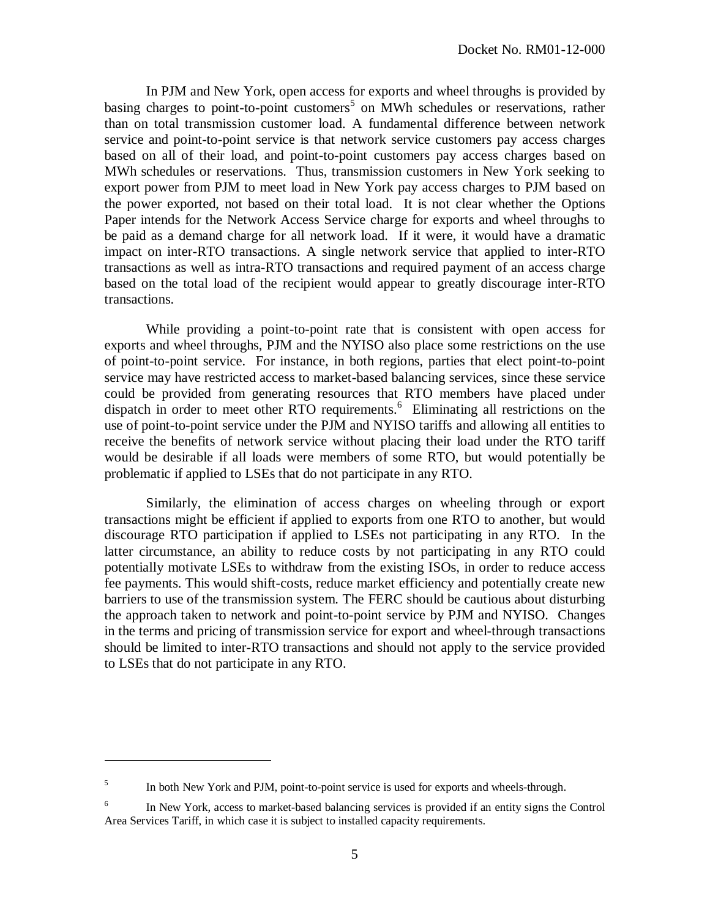In PJM and New York, open access for exports and wheel throughs is provided by basing charges to point-to-point customers<sup>5</sup> on MWh schedules or reservations, rather than on total transmission customer load. A fundamental difference between network service and point-to-point service is that network service customers pay access charges based on all of their load, and point-to-point customers pay access charges based on MWh schedules or reservations. Thus, transmission customers in New York seeking to export power from PJM to meet load in New York pay access charges to PJM based on the power exported, not based on their total load. It is not clear whether the Options Paper intends for the Network Access Service charge for exports and wheel throughs to be paid as a demand charge for all network load. If it were, it would have a dramatic impact on inter-RTO transactions. A single network service that applied to inter-RTO transactions as well as intra-RTO transactions and required payment of an access charge based on the total load of the recipient would appear to greatly discourage inter-RTO transactions.

While providing a point-to-point rate that is consistent with open access for exports and wheel throughs, PJM and the NYISO also place some restrictions on the use of point-to-point service. For instance, in both regions, parties that elect point-to-point service may have restricted access to market-based balancing services, since these service could be provided from generating resources that RTO members have placed under dispatch in order to meet other RTO requirements.<sup>6</sup> Eliminating all restrictions on the use of point-to-point service under the PJM and NYISO tariffs and allowing all entities to receive the benefits of network service without placing their load under the RTO tariff would be desirable if all loads were members of some RTO, but would potentially be problematic if applied to LSEs that do not participate in any RTO.

Similarly, the elimination of access charges on wheeling through or export transactions might be efficient if applied to exports from one RTO to another, but would discourage RTO participation if applied to LSEs not participating in any RTO. In the latter circumstance, an ability to reduce costs by not participating in any RTO could potentially motivate LSEs to withdraw from the existing ISOs, in order to reduce access fee payments. This would shift-costs, reduce market efficiency and potentially create new barriers to use of the transmission system. The FERC should be cautious about disturbing the approach taken to network and point-to-point service by PJM and NYISO. Changes in the terms and pricing of transmission service for export and wheel-through transactions should be limited to inter-RTO transactions and should not apply to the service provided to LSEs that do not participate in any RTO.

<sup>5</sup> In both New York and PJM, point-to-point service is used for exports and wheels-through.

<sup>6</sup> In New York, access to market-based balancing services is provided if an entity signs the Control Area Services Tariff, in which case it is subject to installed capacity requirements.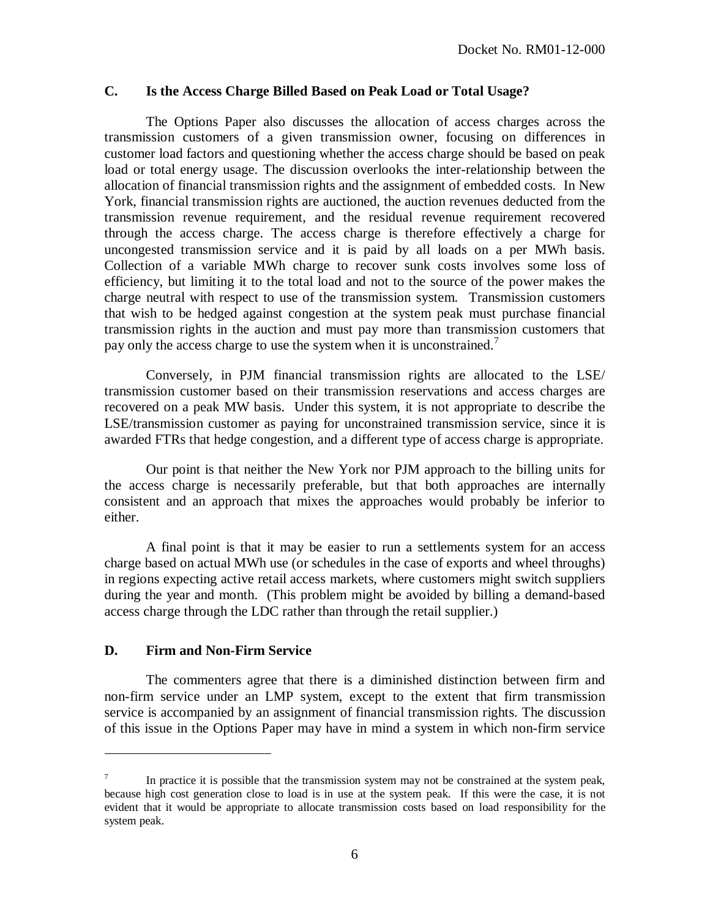#### **C. Is the Access Charge Billed Based on Peak Load or Total Usage?**

The Options Paper also discusses the allocation of access charges across the transmission customers of a given transmission owner, focusing on differences in customer load factors and questioning whether the access charge should be based on peak load or total energy usage. The discussion overlooks the inter-relationship between the allocation of financial transmission rights and the assignment of embedded costs. In New York, financial transmission rights are auctioned, the auction revenues deducted from the transmission revenue requirement, and the residual revenue requirement recovered through the access charge. The access charge is therefore effectively a charge for uncongested transmission service and it is paid by all loads on a per MWh basis. Collection of a variable MWh charge to recover sunk costs involves some loss of efficiency, but limiting it to the total load and not to the source of the power makes the charge neutral with respect to use of the transmission system. Transmission customers that wish to be hedged against congestion at the system peak must purchase financial transmission rights in the auction and must pay more than transmission customers that pay only the access charge to use the system when it is unconstrained.<sup>7</sup>

Conversely, in PJM financial transmission rights are allocated to the LSE/ transmission customer based on their transmission reservations and access charges are recovered on a peak MW basis. Under this system, it is not appropriate to describe the LSE/transmission customer as paying for unconstrained transmission service, since it is awarded FTRs that hedge congestion, and a different type of access charge is appropriate.

Our point is that neither the New York nor PJM approach to the billing units for the access charge is necessarily preferable, but that both approaches are internally consistent and an approach that mixes the approaches would probably be inferior to either.

A final point is that it may be easier to run a settlements system for an access charge based on actual MWh use (or schedules in the case of exports and wheel throughs) in regions expecting active retail access markets, where customers might switch suppliers during the year and month. (This problem might be avoided by billing a demand-based access charge through the LDC rather than through the retail supplier.)

### **D. Firm and Non-Firm Service**

 $\overline{a}$ 

The commenters agree that there is a diminished distinction between firm and non-firm service under an LMP system, except to the extent that firm transmission service is accompanied by an assignment of financial transmission rights. The discussion of this issue in the Options Paper may have in mind a system in which non-firm service

<sup>7</sup> In practice it is possible that the transmission system may not be constrained at the system peak, because high cost generation close to load is in use at the system peak. If this were the case, it is not evident that it would be appropriate to allocate transmission costs based on load responsibility for the system peak.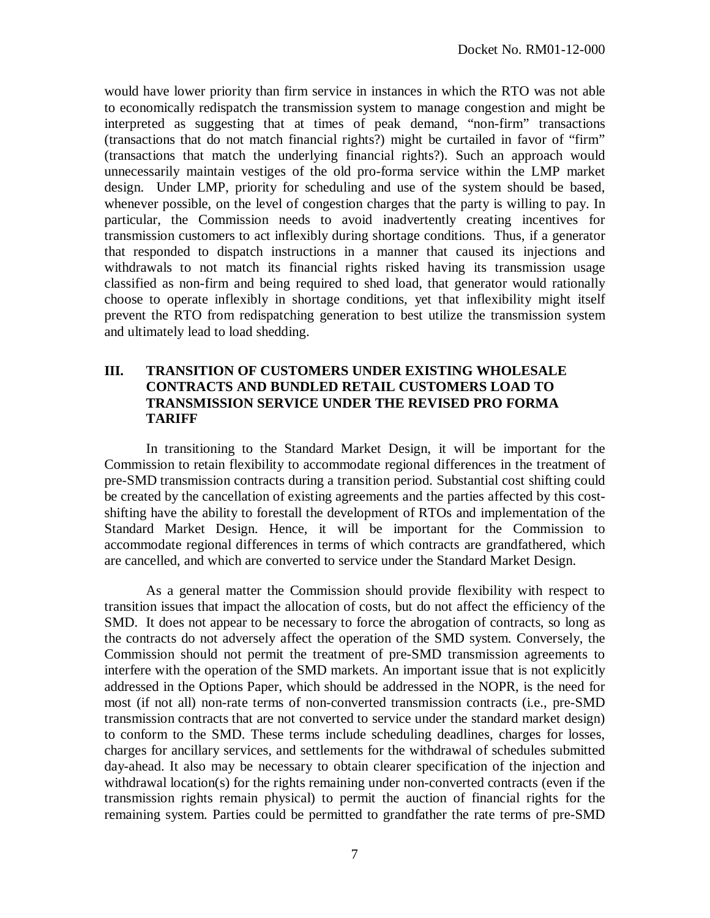would have lower priority than firm service in instances in which the RTO was not able to economically redispatch the transmission system to manage congestion and might be interpreted as suggesting that at times of peak demand, "non-firm" transactions (transactions that do not match financial rights?) might be curtailed in favor of "firm" (transactions that match the underlying financial rights?). Such an approach would unnecessarily maintain vestiges of the old pro-forma service within the LMP market design. Under LMP, priority for scheduling and use of the system should be based, whenever possible, on the level of congestion charges that the party is willing to pay. In particular, the Commission needs to avoid inadvertently creating incentives for transmission customers to act inflexibly during shortage conditions. Thus, if a generator that responded to dispatch instructions in a manner that caused its injections and withdrawals to not match its financial rights risked having its transmission usage classified as non-firm and being required to shed load, that generator would rationally choose to operate inflexibly in shortage conditions, yet that inflexibility might itself prevent the RTO from redispatching generation to best utilize the transmission system and ultimately lead to load shedding.

# **III. TRANSITION OF CUSTOMERS UNDER EXISTING WHOLESALE CONTRACTS AND BUNDLED RETAIL CUSTOMERS LOAD TO TRANSMISSION SERVICE UNDER THE REVISED PRO FORMA TARIFF**

In transitioning to the Standard Market Design, it will be important for the Commission to retain flexibility to accommodate regional differences in the treatment of pre-SMD transmission contracts during a transition period. Substantial cost shifting could be created by the cancellation of existing agreements and the parties affected by this costshifting have the ability to forestall the development of RTOs and implementation of the Standard Market Design. Hence, it will be important for the Commission to accommodate regional differences in terms of which contracts are grandfathered, which are cancelled, and which are converted to service under the Standard Market Design.

As a general matter the Commission should provide flexibility with respect to transition issues that impact the allocation of costs, but do not affect the efficiency of the SMD. It does not appear to be necessary to force the abrogation of contracts, so long as the contracts do not adversely affect the operation of the SMD system. Conversely, the Commission should not permit the treatment of pre-SMD transmission agreements to interfere with the operation of the SMD markets. An important issue that is not explicitly addressed in the Options Paper, which should be addressed in the NOPR, is the need for most (if not all) non-rate terms of non-converted transmission contracts (i.e., pre-SMD transmission contracts that are not converted to service under the standard market design) to conform to the SMD. These terms include scheduling deadlines, charges for losses, charges for ancillary services, and settlements for the withdrawal of schedules submitted day-ahead. It also may be necessary to obtain clearer specification of the injection and withdrawal location(s) for the rights remaining under non-converted contracts (even if the transmission rights remain physical) to permit the auction of financial rights for the remaining system. Parties could be permitted to grandfather the rate terms of pre-SMD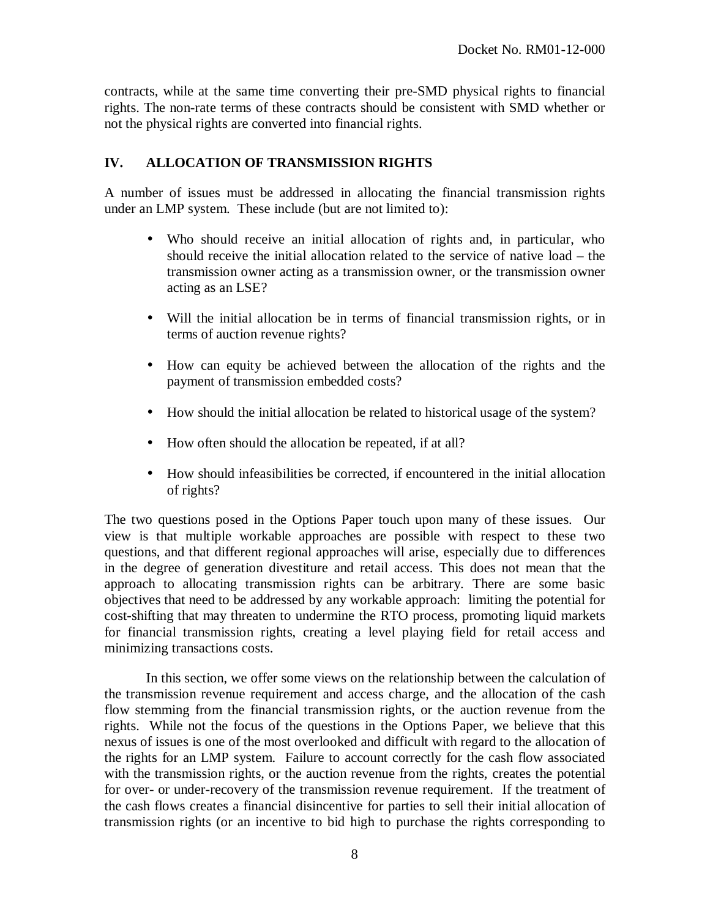contracts, while at the same time converting their pre-SMD physical rights to financial rights. The non-rate terms of these contracts should be consistent with SMD whether or not the physical rights are converted into financial rights.

# **IV. ALLOCATION OF TRANSMISSION RIGHTS**

A number of issues must be addressed in allocating the financial transmission rights under an LMP system. These include (but are not limited to):

- Who should receive an initial allocation of rights and, in particular, who should receive the initial allocation related to the service of native load – the transmission owner acting as a transmission owner, or the transmission owner acting as an LSE?
- Will the initial allocation be in terms of financial transmission rights, or in terms of auction revenue rights?
- How can equity be achieved between the allocation of the rights and the payment of transmission embedded costs?
- How should the initial allocation be related to historical usage of the system?
- How often should the allocation be repeated, if at all?
- How should infeasibilities be corrected, if encountered in the initial allocation of rights?

The two questions posed in the Options Paper touch upon many of these issues. Our view is that multiple workable approaches are possible with respect to these two questions, and that different regional approaches will arise, especially due to differences in the degree of generation divestiture and retail access. This does not mean that the approach to allocating transmission rights can be arbitrary. There are some basic objectives that need to be addressed by any workable approach: limiting the potential for cost-shifting that may threaten to undermine the RTO process, promoting liquid markets for financial transmission rights, creating a level playing field for retail access and minimizing transactions costs.

In this section, we offer some views on the relationship between the calculation of the transmission revenue requirement and access charge, and the allocation of the cash flow stemming from the financial transmission rights, or the auction revenue from the rights. While not the focus of the questions in the Options Paper, we believe that this nexus of issues is one of the most overlooked and difficult with regard to the allocation of the rights for an LMP system. Failure to account correctly for the cash flow associated with the transmission rights, or the auction revenue from the rights, creates the potential for over- or under-recovery of the transmission revenue requirement. If the treatment of the cash flows creates a financial disincentive for parties to sell their initial allocation of transmission rights (or an incentive to bid high to purchase the rights corresponding to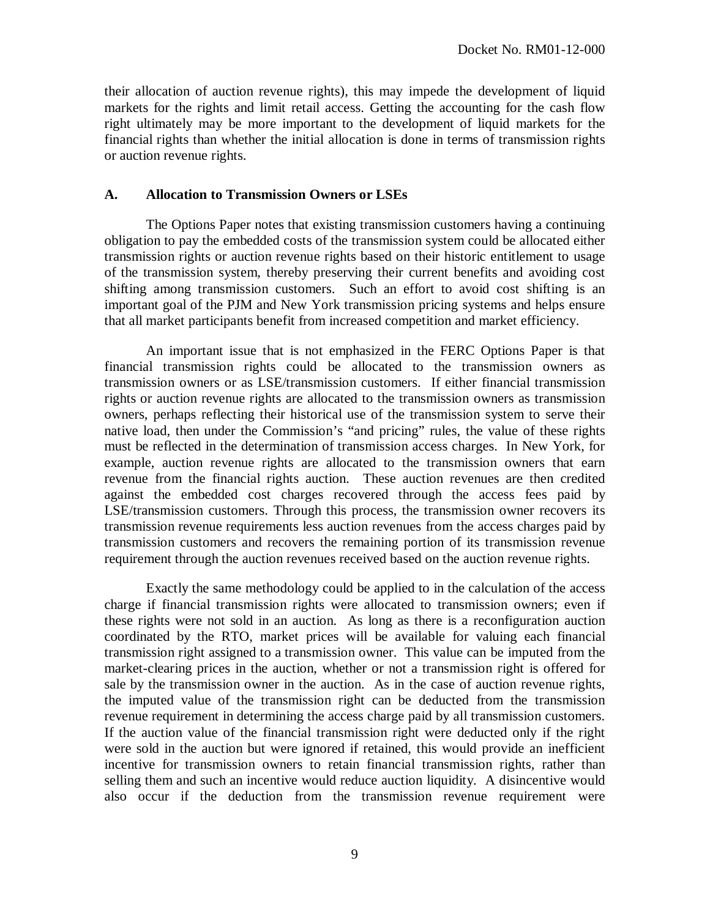their allocation of auction revenue rights), this may impede the development of liquid markets for the rights and limit retail access. Getting the accounting for the cash flow right ultimately may be more important to the development of liquid markets for the financial rights than whether the initial allocation is done in terms of transmission rights or auction revenue rights.

#### **A. Allocation to Transmission Owners or LSEs**

The Options Paper notes that existing transmission customers having a continuing obligation to pay the embedded costs of the transmission system could be allocated either transmission rights or auction revenue rights based on their historic entitlement to usage of the transmission system, thereby preserving their current benefits and avoiding cost shifting among transmission customers. Such an effort to avoid cost shifting is an important goal of the PJM and New York transmission pricing systems and helps ensure that all market participants benefit from increased competition and market efficiency.

An important issue that is not emphasized in the FERC Options Paper is that financial transmission rights could be allocated to the transmission owners as transmission owners or as LSE/transmission customers. If either financial transmission rights or auction revenue rights are allocated to the transmission owners as transmission owners, perhaps reflecting their historical use of the transmission system to serve their native load, then under the Commission's "and pricing" rules, the value of these rights must be reflected in the determination of transmission access charges. In New York, for example, auction revenue rights are allocated to the transmission owners that earn revenue from the financial rights auction. These auction revenues are then credited against the embedded cost charges recovered through the access fees paid by LSE/transmission customers. Through this process, the transmission owner recovers its transmission revenue requirements less auction revenues from the access charges paid by transmission customers and recovers the remaining portion of its transmission revenue requirement through the auction revenues received based on the auction revenue rights.

Exactly the same methodology could be applied to in the calculation of the access charge if financial transmission rights were allocated to transmission owners; even if these rights were not sold in an auction. As long as there is a reconfiguration auction coordinated by the RTO, market prices will be available for valuing each financial transmission right assigned to a transmission owner. This value can be imputed from the market-clearing prices in the auction, whether or not a transmission right is offered for sale by the transmission owner in the auction. As in the case of auction revenue rights, the imputed value of the transmission right can be deducted from the transmission revenue requirement in determining the access charge paid by all transmission customers. If the auction value of the financial transmission right were deducted only if the right were sold in the auction but were ignored if retained, this would provide an inefficient incentive for transmission owners to retain financial transmission rights, rather than selling them and such an incentive would reduce auction liquidity. A disincentive would also occur if the deduction from the transmission revenue requirement were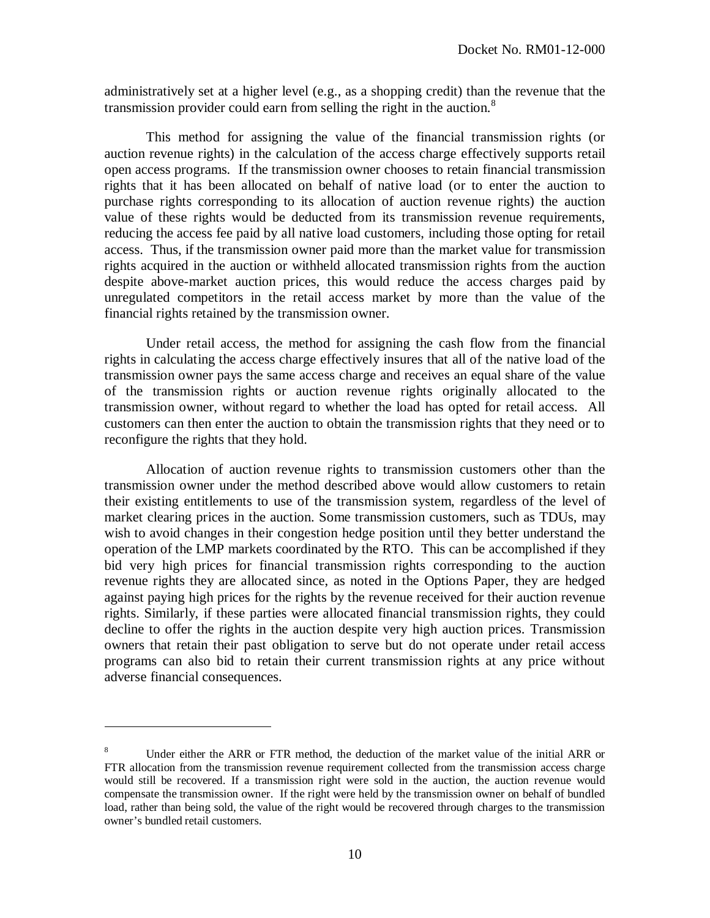administratively set at a higher level (e.g., as a shopping credit) than the revenue that the transmission provider could earn from selling the right in the auction.<sup>8</sup>

This method for assigning the value of the financial transmission rights (or auction revenue rights) in the calculation of the access charge effectively supports retail open access programs. If the transmission owner chooses to retain financial transmission rights that it has been allocated on behalf of native load (or to enter the auction to purchase rights corresponding to its allocation of auction revenue rights) the auction value of these rights would be deducted from its transmission revenue requirements, reducing the access fee paid by all native load customers, including those opting for retail access. Thus, if the transmission owner paid more than the market value for transmission rights acquired in the auction or withheld allocated transmission rights from the auction despite above-market auction prices, this would reduce the access charges paid by unregulated competitors in the retail access market by more than the value of the financial rights retained by the transmission owner.

Under retail access, the method for assigning the cash flow from the financial rights in calculating the access charge effectively insures that all of the native load of the transmission owner pays the same access charge and receives an equal share of the value of the transmission rights or auction revenue rights originally allocated to the transmission owner, without regard to whether the load has opted for retail access. All customers can then enter the auction to obtain the transmission rights that they need or to reconfigure the rights that they hold.

Allocation of auction revenue rights to transmission customers other than the transmission owner under the method described above would allow customers to retain their existing entitlements to use of the transmission system, regardless of the level of market clearing prices in the auction. Some transmission customers, such as TDUs, may wish to avoid changes in their congestion hedge position until they better understand the operation of the LMP markets coordinated by the RTO. This can be accomplished if they bid very high prices for financial transmission rights corresponding to the auction revenue rights they are allocated since, as noted in the Options Paper, they are hedged against paying high prices for the rights by the revenue received for their auction revenue rights. Similarly, if these parties were allocated financial transmission rights, they could decline to offer the rights in the auction despite very high auction prices. Transmission owners that retain their past obligation to serve but do not operate under retail access programs can also bid to retain their current transmission rights at any price without adverse financial consequences.

<sup>8</sup> Under either the ARR or FTR method, the deduction of the market value of the initial ARR or FTR allocation from the transmission revenue requirement collected from the transmission access charge would still be recovered. If a transmission right were sold in the auction, the auction revenue would compensate the transmission owner. If the right were held by the transmission owner on behalf of bundled load, rather than being sold, the value of the right would be recovered through charges to the transmission owner's bundled retail customers.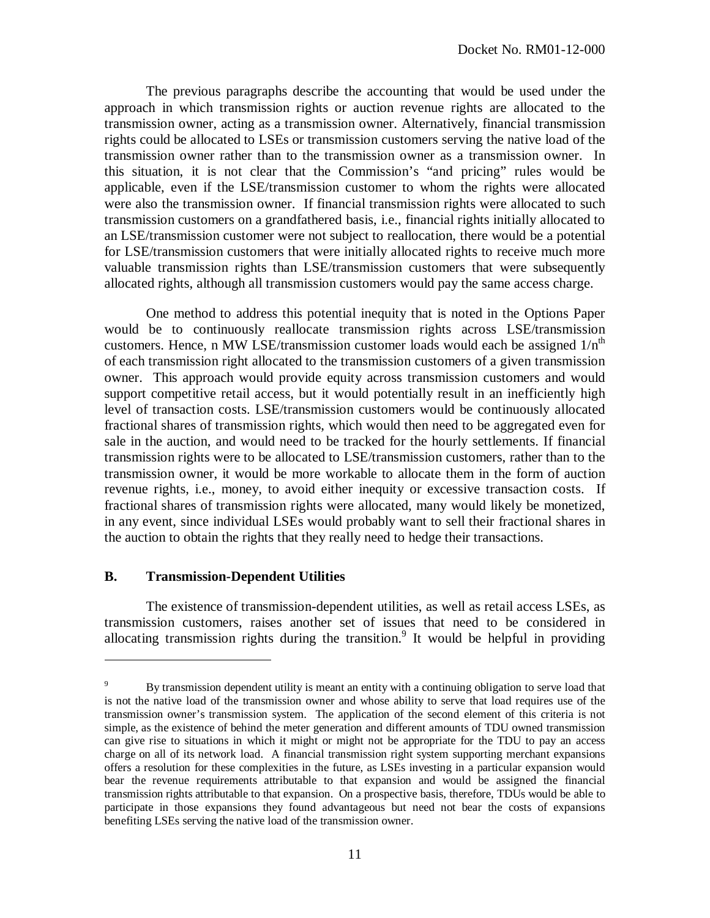The previous paragraphs describe the accounting that would be used under the approach in which transmission rights or auction revenue rights are allocated to the transmission owner, acting as a transmission owner. Alternatively, financial transmission rights could be allocated to LSEs or transmission customers serving the native load of the transmission owner rather than to the transmission owner as a transmission owner. In this situation, it is not clear that the Commission's "and pricing" rules would be applicable, even if the LSE/transmission customer to whom the rights were allocated were also the transmission owner. If financial transmission rights were allocated to such transmission customers on a grandfathered basis, i.e., financial rights initially allocated to an LSE/transmission customer were not subject to reallocation, there would be a potential for LSE/transmission customers that were initially allocated rights to receive much more valuable transmission rights than LSE/transmission customers that were subsequently allocated rights, although all transmission customers would pay the same access charge.

One method to address this potential inequity that is noted in the Options Paper would be to continuously reallocate transmission rights across LSE/transmission customers. Hence, n MW LSE/transmission customer loads would each be assigned  $1/n<sup>th</sup>$ of each transmission right allocated to the transmission customers of a given transmission owner. This approach would provide equity across transmission customers and would support competitive retail access, but it would potentially result in an inefficiently high level of transaction costs. LSE/transmission customers would be continuously allocated fractional shares of transmission rights, which would then need to be aggregated even for sale in the auction, and would need to be tracked for the hourly settlements. If financial transmission rights were to be allocated to LSE/transmission customers, rather than to the transmission owner, it would be more workable to allocate them in the form of auction revenue rights, i.e., money, to avoid either inequity or excessive transaction costs. If fractional shares of transmission rights were allocated, many would likely be monetized, in any event, since individual LSEs would probably want to sell their fractional shares in the auction to obtain the rights that they really need to hedge their transactions.

### **B. Transmission-Dependent Utilities**

 $\overline{a}$ 

The existence of transmission-dependent utilities, as well as retail access LSEs, as transmission customers, raises another set of issues that need to be considered in allocating transmission rights during the transition.<sup>9</sup> It would be helpful in providing

<sup>9</sup> By transmission dependent utility is meant an entity with a continuing obligation to serve load that is not the native load of the transmission owner and whose ability to serve that load requires use of the transmission owner's transmission system. The application of the second element of this criteria is not simple, as the existence of behind the meter generation and different amounts of TDU owned transmission can give rise to situations in which it might or might not be appropriate for the TDU to pay an access charge on all of its network load. A financial transmission right system supporting merchant expansions offers a resolution for these complexities in the future, as LSEs investing in a particular expansion would bear the revenue requirements attributable to that expansion and would be assigned the financial transmission rights attributable to that expansion. On a prospective basis, therefore, TDUs would be able to participate in those expansions they found advantageous but need not bear the costs of expansions benefiting LSEs serving the native load of the transmission owner.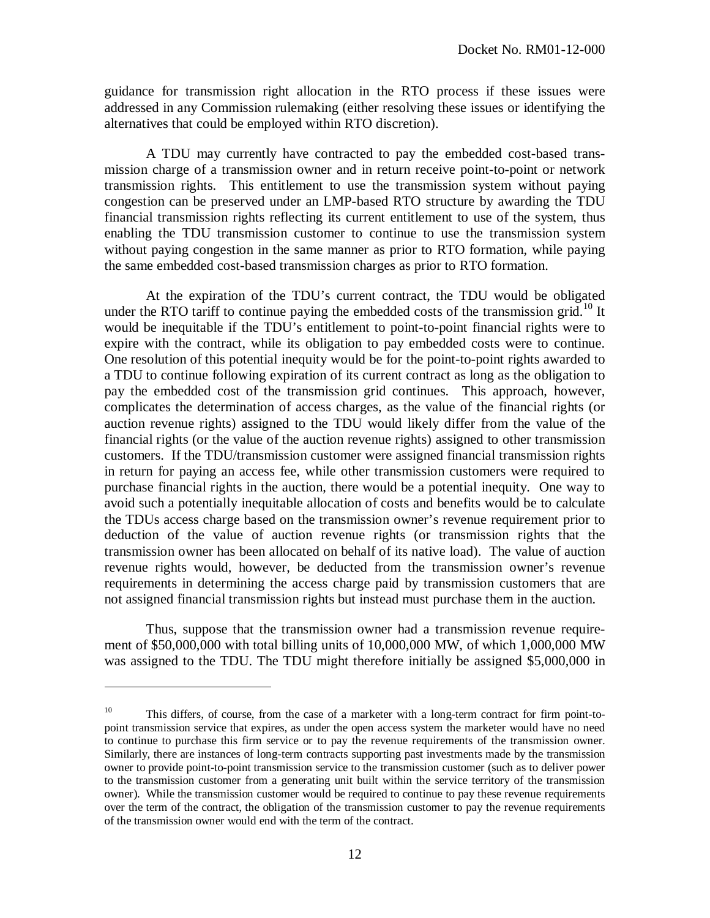guidance for transmission right allocation in the RTO process if these issues were addressed in any Commission rulemaking (either resolving these issues or identifying the alternatives that could be employed within RTO discretion).

A TDU may currently have contracted to pay the embedded cost-based transmission charge of a transmission owner and in return receive point-to-point or network transmission rights. This entitlement to use the transmission system without paying congestion can be preserved under an LMP-based RTO structure by awarding the TDU financial transmission rights reflecting its current entitlement to use of the system, thus enabling the TDU transmission customer to continue to use the transmission system without paying congestion in the same manner as prior to RTO formation, while paying the same embedded cost-based transmission charges as prior to RTO formation.

At the expiration of the TDU's current contract, the TDU would be obligated under the RTO tariff to continue paying the embedded costs of the transmission grid.<sup>10</sup> It would be inequitable if the TDU's entitlement to point-to-point financial rights were to expire with the contract, while its obligation to pay embedded costs were to continue. One resolution of this potential inequity would be for the point-to-point rights awarded to a TDU to continue following expiration of its current contract as long as the obligation to pay the embedded cost of the transmission grid continues. This approach, however, complicates the determination of access charges, as the value of the financial rights (or auction revenue rights) assigned to the TDU would likely differ from the value of the financial rights (or the value of the auction revenue rights) assigned to other transmission customers. If the TDU/transmission customer were assigned financial transmission rights in return for paying an access fee, while other transmission customers were required to purchase financial rights in the auction, there would be a potential inequity. One way to avoid such a potentially inequitable allocation of costs and benefits would be to calculate the TDUs access charge based on the transmission owner's revenue requirement prior to deduction of the value of auction revenue rights (or transmission rights that the transmission owner has been allocated on behalf of its native load). The value of auction revenue rights would, however, be deducted from the transmission owner's revenue requirements in determining the access charge paid by transmission customers that are not assigned financial transmission rights but instead must purchase them in the auction.

Thus, suppose that the transmission owner had a transmission revenue requirement of \$50,000,000 with total billing units of 10,000,000 MW, of which 1,000,000 MW was assigned to the TDU. The TDU might therefore initially be assigned \$5,000,000 in

<sup>&</sup>lt;sup>10</sup> This differs, of course, from the case of a marketer with a long-term contract for firm point-topoint transmission service that expires, as under the open access system the marketer would have no need to continue to purchase this firm service or to pay the revenue requirements of the transmission owner. Similarly, there are instances of long-term contracts supporting past investments made by the transmission owner to provide point-to-point transmission service to the transmission customer (such as to deliver power to the transmission customer from a generating unit built within the service territory of the transmission owner). While the transmission customer would be required to continue to pay these revenue requirements over the term of the contract, the obligation of the transmission customer to pay the revenue requirements of the transmission owner would end with the term of the contract.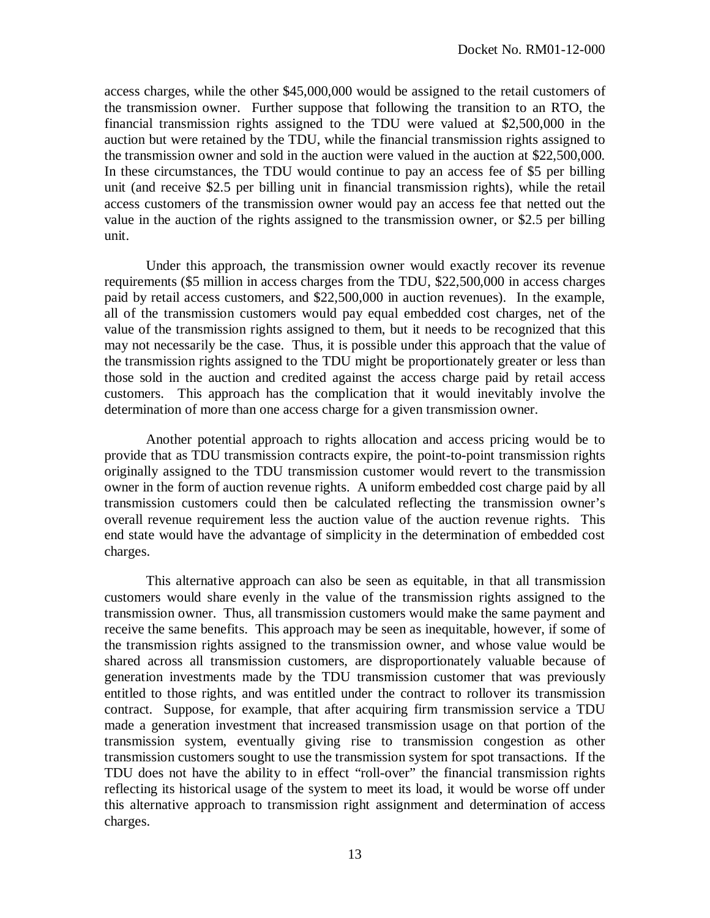access charges, while the other \$45,000,000 would be assigned to the retail customers of the transmission owner. Further suppose that following the transition to an RTO, the financial transmission rights assigned to the TDU were valued at \$2,500,000 in the auction but were retained by the TDU, while the financial transmission rights assigned to the transmission owner and sold in the auction were valued in the auction at \$22,500,000. In these circumstances, the TDU would continue to pay an access fee of \$5 per billing unit (and receive \$2.5 per billing unit in financial transmission rights), while the retail access customers of the transmission owner would pay an access fee that netted out the value in the auction of the rights assigned to the transmission owner, or \$2.5 per billing unit.

Under this approach, the transmission owner would exactly recover its revenue requirements (\$5 million in access charges from the TDU, \$22,500,000 in access charges paid by retail access customers, and \$22,500,000 in auction revenues). In the example, all of the transmission customers would pay equal embedded cost charges, net of the value of the transmission rights assigned to them, but it needs to be recognized that this may not necessarily be the case. Thus, it is possible under this approach that the value of the transmission rights assigned to the TDU might be proportionately greater or less than those sold in the auction and credited against the access charge paid by retail access customers. This approach has the complication that it would inevitably involve the determination of more than one access charge for a given transmission owner.

Another potential approach to rights allocation and access pricing would be to provide that as TDU transmission contracts expire, the point-to-point transmission rights originally assigned to the TDU transmission customer would revert to the transmission owner in the form of auction revenue rights. A uniform embedded cost charge paid by all transmission customers could then be calculated reflecting the transmission owner's overall revenue requirement less the auction value of the auction revenue rights. This end state would have the advantage of simplicity in the determination of embedded cost charges.

This alternative approach can also be seen as equitable, in that all transmission customers would share evenly in the value of the transmission rights assigned to the transmission owner. Thus, all transmission customers would make the same payment and receive the same benefits. This approach may be seen as inequitable, however, if some of the transmission rights assigned to the transmission owner, and whose value would be shared across all transmission customers, are disproportionately valuable because of generation investments made by the TDU transmission customer that was previously entitled to those rights, and was entitled under the contract to rollover its transmission contract. Suppose, for example, that after acquiring firm transmission service a TDU made a generation investment that increased transmission usage on that portion of the transmission system, eventually giving rise to transmission congestion as other transmission customers sought to use the transmission system for spot transactions. If the TDU does not have the ability to in effect "roll-over" the financial transmission rights reflecting its historical usage of the system to meet its load, it would be worse off under this alternative approach to transmission right assignment and determination of access charges.